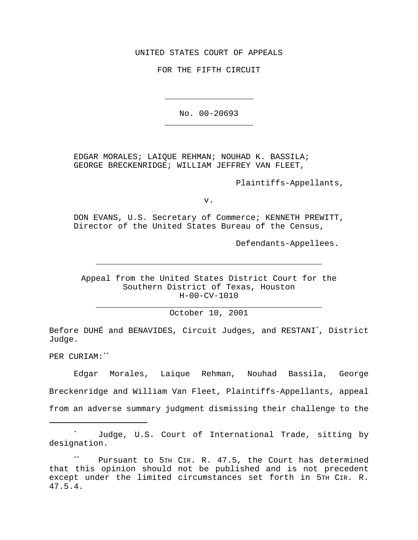UNITED STATES COURT OF APPEALS

FOR THE FIFTH CIRCUIT

No. 00-20693 \_\_\_\_\_\_\_\_\_\_\_\_\_\_\_\_\_\_

\_\_\_\_\_\_\_\_\_\_\_\_\_\_\_\_\_\_

EDGAR MORALES; LAIQUE REHMAN; NOUHAD K. BASSILA; GEORGE BRECKENRIDGE; WILLIAM JEFFREY VAN FLEET,

Plaintiffs-Appellants,

v.

DON EVANS, U.S. Secretary of Commerce; KENNETH PREWITT, Director of the United States Bureau of the Census,

Defendants-Appellees.

Appeal from the United States District Court for the Southern District of Texas, Houston H-00-CV-1010

\_\_\_\_\_\_\_\_\_\_\_\_\_\_\_\_\_\_\_\_\_\_\_\_\_\_\_\_\_\_\_\_\_\_\_\_\_\_\_\_\_\_\_\_\_\_

\_\_\_\_\_\_\_\_\_\_\_\_\_\_\_\_\_\_\_\_\_\_\_\_\_\_\_\_\_\_\_\_\_\_\_\_\_\_\_\_\_\_\_\_\_\_ October 10, 2001

Before DUHÉ and BENAVIDES, Circuit Judges, and RESTANI\*, District Judge.

PER CURIAM:\*\*

Edgar Morales, Laique Rehman, Nouhad Bassila, George Breckenridge and William Van Fleet, Plaintiffs-Appellants, appeal

from an adverse summary judgment dismissing their challenge to the

Judge, U.S. Court of International Trade, sitting by designation.

Pursuant to 5TH CIR. R. 47.5, the Court has determined that this opinion should not be published and is not precedent except under the limited circumstances set forth in 5TH CIR. R. 47.5.4.